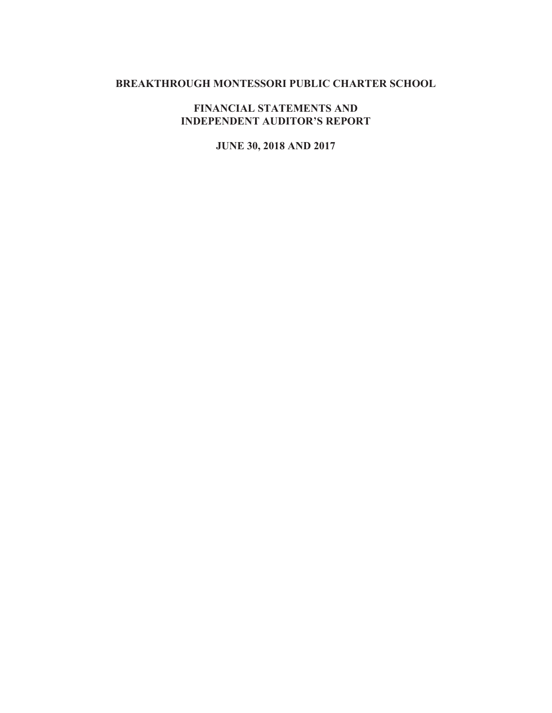# **BREAKTHROUGH MONTESSORI PUBLIC CHARTER SCHOOL**

# **FINANCIAL STATEMENTS AND INDEPENDENT AUDITOR'S REPORT**

# **JUNE 30, 2018 AND 2017**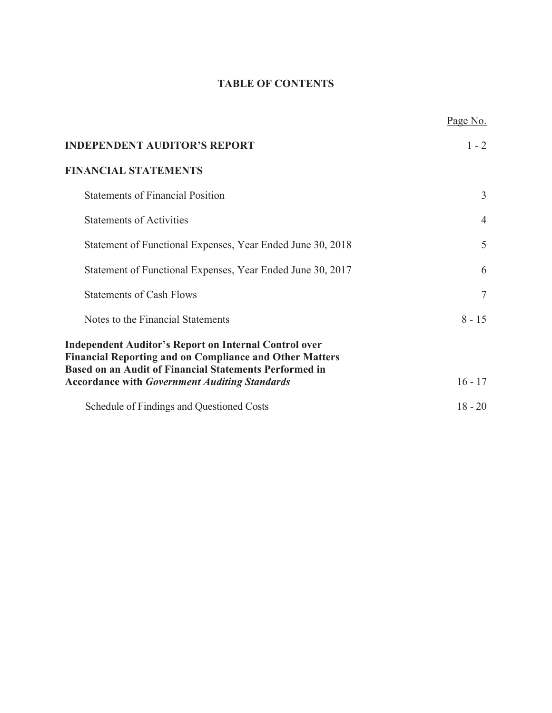# **TABLE OF CONTENTS**

|                                                                                                                                                                                                 | Page No.       |
|-------------------------------------------------------------------------------------------------------------------------------------------------------------------------------------------------|----------------|
| <b>INDEPENDENT AUDITOR'S REPORT</b>                                                                                                                                                             | $1 - 2$        |
| <b>FINANCIAL STATEMENTS</b>                                                                                                                                                                     |                |
| <b>Statements of Financial Position</b>                                                                                                                                                         | 3              |
| <b>Statements of Activities</b>                                                                                                                                                                 | $\overline{4}$ |
| Statement of Functional Expenses, Year Ended June 30, 2018                                                                                                                                      | 5              |
| Statement of Functional Expenses, Year Ended June 30, 2017                                                                                                                                      | 6              |
| <b>Statements of Cash Flows</b>                                                                                                                                                                 | 7              |
| Notes to the Financial Statements                                                                                                                                                               | $8 - 15$       |
| <b>Independent Auditor's Report on Internal Control over</b><br><b>Financial Reporting and on Compliance and Other Matters</b><br><b>Based on an Audit of Financial Statements Performed in</b> |                |
| <b>Accordance with Government Auditing Standards</b>                                                                                                                                            | $16 - 17$      |
| Schedule of Findings and Questioned Costs                                                                                                                                                       | $18 - 20$      |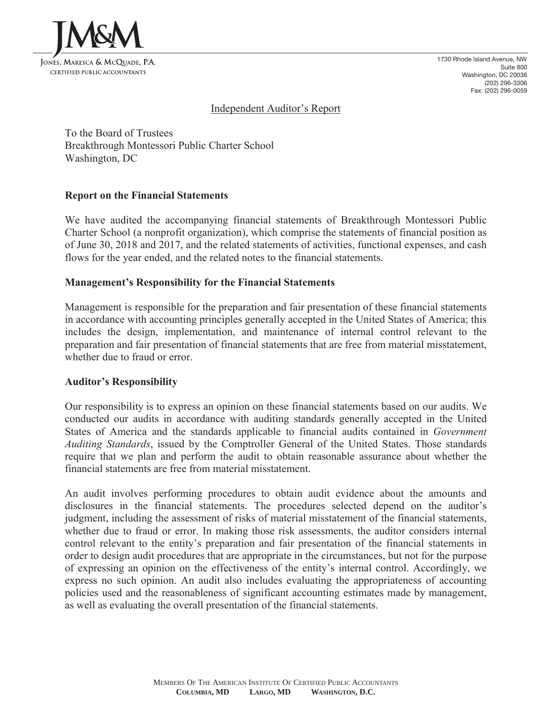

1730 Rhode Island Avenue, NW Suite 800 Washington, DC 20036 (202) 296-3306 Fax: (202) 296-0059

#### Independent Auditor's Report

To the Board of Trustees Breakthrough Montessori Public Charter School Washington, DC

#### **Report on the Financial Statements**

We have audited the accompanying financial statements of Breakthrough Montessori Public Charter School (a nonprofit organization), which comprise the statements of financial position as of June 30, 2018 and 2017, and the related statements of activities, functional expenses, and cash flows for the year ended, and the related notes to the financial statements.

#### **Management's Responsibility for the Financial Statements**

Management is responsible for the preparation and fair presentation of these financial statements in accordance with accounting principles generally accepted in the United States of America; this includes the design, implementation, and maintenance of internal control relevant to the preparation and fair presentation of financial statements that are free from material misstatement, whether due to fraud or error.

#### **Auditor's Responsibility**

Our responsibility is to express an opinion on these financial statements based on our audits. We conducted our audits in accordance with auditing standards generally accepted in the United States of America and the standards applicable to financial audits contained in *Government Auditing Standards*, issued by the Comptroller General of the United States. Those standards require that we plan and perform the audit to obtain reasonable assurance about whether the financial statements are free from material misstatement.

An audit involves performing procedures to obtain audit evidence about the amounts and disclosures in the financial statements. The procedures selected depend on the auditor's judgment, including the assessment of risks of material misstatement of the financial statements, whether due to fraud or error. In making those risk assessments, the auditor considers internal control relevant to the entity's preparation and fair presentation of the financial statements in order to design audit procedures that are appropriate in the circumstances, but not for the purpose of expressing an opinion on the effectiveness of the entity's internal control. Accordingly, we express no such opinion. An audit also includes evaluating the appropriateness of accounting policies used and the reasonableness of significant accounting estimates made by management, as well as evaluating the overall presentation of the financial statements.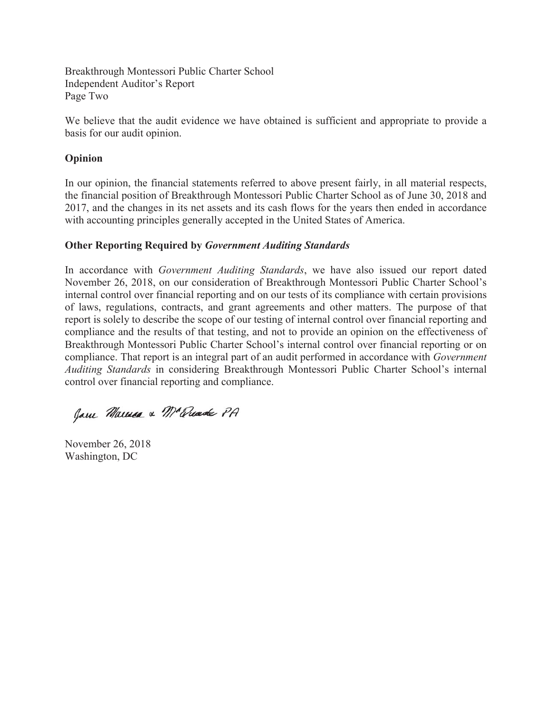Breakthrough Montessori Public Charter School Independent Auditor's Report Page Two

We believe that the audit evidence we have obtained is sufficient and appropriate to provide a basis for our audit opinion.

# **Opinion**

In our opinion, the financial statements referred to above present fairly, in all material respects, the financial position of Breakthrough Montessori Public Charter School as of June 30, 2018 and 2017, and the changes in its net assets and its cash flows for the years then ended in accordance with accounting principles generally accepted in the United States of America.

# **Other Reporting Required by** *Government Auditing Standards*

In accordance with *Government Auditing Standards*, we have also issued our report dated November 26, 2018, on our consideration of Breakthrough Montessori Public Charter School's internal control over financial reporting and on our tests of its compliance with certain provisions of laws, regulations, contracts, and grant agreements and other matters. The purpose of that report is solely to describe the scope of our testing of internal control over financial reporting and compliance and the results of that testing, and not to provide an opinion on the effectiveness of Breakthrough Montessori Public Charter School's internal control over financial reporting or on compliance. That report is an integral part of an audit performed in accordance with *Government Auditing Standards* in considering Breakthrough Montessori Public Charter School's internal control over financial reporting and compliance.

Jam Marmea & Mc Quade PA

November 26, 2018 Washington, DC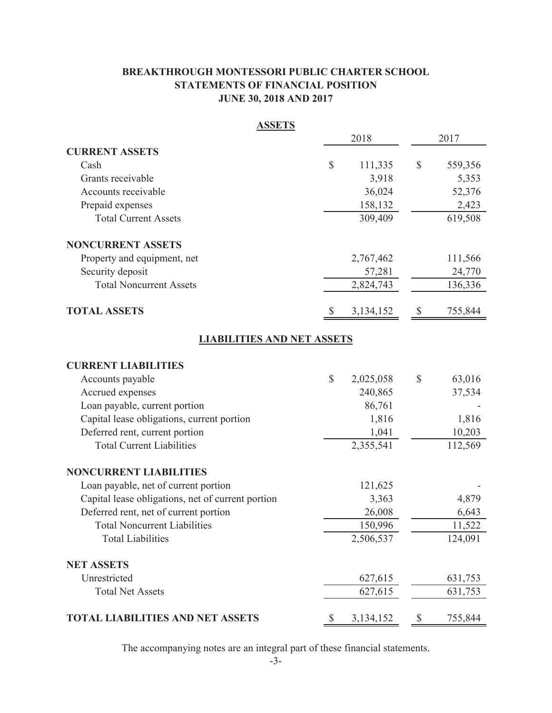# **BREAKTHROUGH MONTESSORI PUBLIC CHARTER SCHOOL STATEMENTS OF FINANCIAL POSITION JUNE 30, 2018 AND 2017**

| <b>ASSETS</b>                                     |              |             |               |
|---------------------------------------------------|--------------|-------------|---------------|
|                                                   |              | 2018        | 2017          |
| <b>CURRENT ASSETS</b>                             |              |             |               |
| Cash                                              | \$           | 111,335     | \$<br>559,356 |
| Grants receivable                                 |              | 3,918       | 5,353         |
| Accounts receivable                               |              | 36,024      | 52,376        |
| Prepaid expenses                                  |              | 158,132     | 2,423         |
| <b>Total Current Assets</b>                       |              | 309,409     | 619,508       |
| <b>NONCURRENT ASSETS</b>                          |              |             |               |
| Property and equipment, net                       |              | 2,767,462   | 111,566       |
| Security deposit                                  |              | 57,281      | 24,770        |
| <b>Total Noncurrent Assets</b>                    |              | 2,824,743   | 136,336       |
| <b>TOTAL ASSETS</b>                               |              | 3, 134, 152 | 755,844       |
| <b>LIABILITIES AND NET ASSETS</b>                 |              |             |               |
| <b>CURRENT LIABILITIES</b>                        |              |             |               |
| Accounts payable                                  | $\mathbb{S}$ | 2,025,058   | \$<br>63,016  |
| Accrued expenses                                  |              | 240,865     | 37,534        |
| Loan payable, current portion                     |              | 86,761      |               |
| Capital lease obligations, current portion        |              | 1,816       | 1,816         |
| Deferred rent, current portion                    |              | 1,041       | 10,203        |
| <b>Total Current Liabilities</b>                  |              | 2,355,541   | 112,569       |
| <b>NONCURRENT LIABILITIES</b>                     |              |             |               |
| Loan payable, net of current portion              |              | 121,625     |               |
| Capital lease obligations, net of current portion |              | 3,363       | 4,879         |
| Deferred rent, net of current portion             |              | 26,008      | 6,643         |
| <b>Total Noncurrent Liabilities</b>               |              | 150,996     | 11,522        |
| <b>Total Liabilities</b>                          |              | 2,506,537   | 124,091       |
| <b>NET ASSETS</b>                                 |              |             |               |
| Unrestricted                                      |              | 627,615     | 631,753       |
| <b>Total Net Assets</b>                           |              | 627,615     | 631,753       |
| <b>TOTAL LIABILITIES AND NET ASSETS</b>           |              | 3, 134, 152 | 755,844       |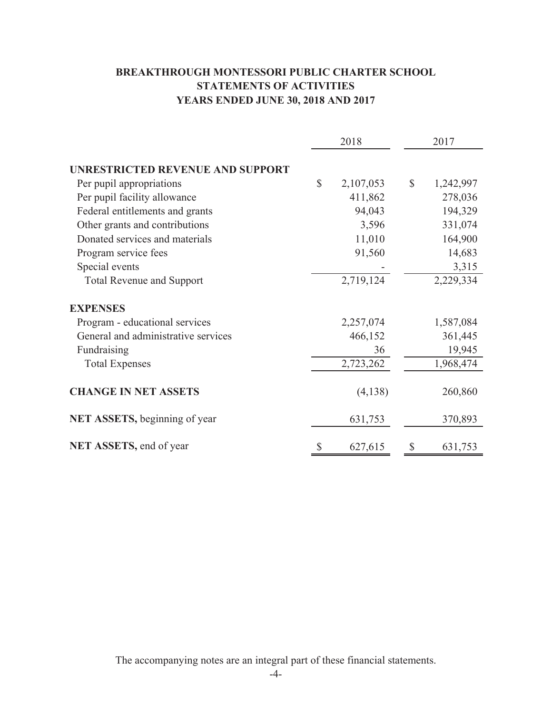# **BREAKTHROUGH MONTESSORI PUBLIC CHARTER SCHOOL STATEMENTS OF ACTIVITIES YEARS ENDED JUNE 30, 2018 AND 2017**

|                                         |              | 2018      |              | 2017      |
|-----------------------------------------|--------------|-----------|--------------|-----------|
| <b>UNRESTRICTED REVENUE AND SUPPORT</b> |              |           |              |           |
| Per pupil appropriations                | $\mathbb{S}$ | 2,107,053 | $\mathbb{S}$ | 1,242,997 |
| Per pupil facility allowance            |              | 411,862   |              | 278,036   |
| Federal entitlements and grants         |              | 94,043    |              | 194,329   |
| Other grants and contributions          |              | 3,596     |              | 331,074   |
| Donated services and materials          |              | 11,010    |              | 164,900   |
| Program service fees                    |              | 91,560    |              | 14,683    |
| Special events                          |              |           |              | 3,315     |
| <b>Total Revenue and Support</b>        |              | 2,719,124 |              | 2,229,334 |
| <b>EXPENSES</b>                         |              |           |              |           |
| Program - educational services          |              | 2,257,074 |              | 1,587,084 |
| General and administrative services     |              | 466,152   |              | 361,445   |
| Fundraising                             |              | 36        |              | 19,945    |
| <b>Total Expenses</b>                   |              | 2,723,262 |              | 1,968,474 |
| <b>CHANGE IN NET ASSETS</b>             |              | (4,138)   |              | 260,860   |
| <b>NET ASSETS, beginning of year</b>    |              | 631,753   |              | 370,893   |
| NET ASSETS, end of year                 | \$           | 627,615   | \$           | 631,753   |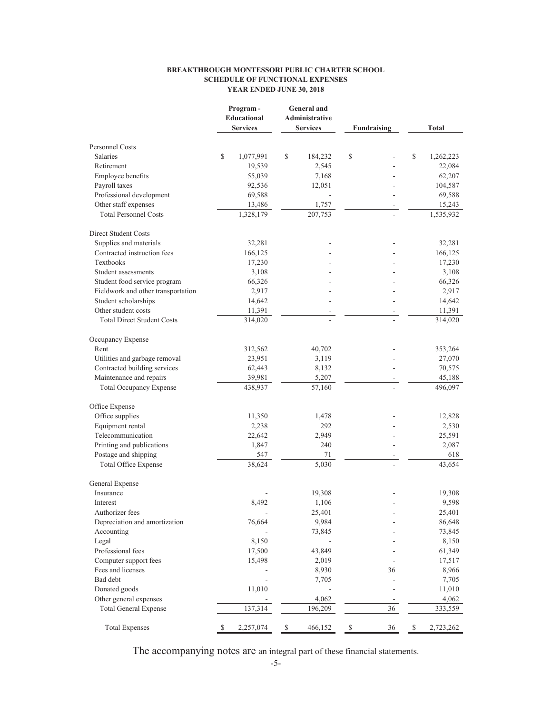#### **BREAKTHROUGH MONTESSORI PUBLIC CHARTER SCHOOL SCHEDULE OF FUNCTIONAL EXPENSES YEAR ENDED JUNE 30, 2018**

|                                    | Program-<br><b>Educational</b><br><b>Services</b> | <b>General</b> and<br>Administrative<br><b>Services</b> |         | <b>Fundraising</b> |    | Total           |
|------------------------------------|---------------------------------------------------|---------------------------------------------------------|---------|--------------------|----|-----------------|
| <b>Personnel Costs</b>             |                                                   |                                                         |         |                    |    |                 |
| <b>Salaries</b>                    | \$<br>1,077,991                                   | \$                                                      | 184,232 | \$                 |    | \$<br>1,262,223 |
| Retirement                         | 19,539                                            |                                                         | 2,545   |                    |    | 22,084          |
| Employee benefits                  | 55,039                                            |                                                         | 7,168   |                    |    | 62,207          |
| Payroll taxes                      | 92,536                                            |                                                         | 12,051  |                    |    | 104,587         |
| Professional development           | 69,588                                            |                                                         |         |                    |    | 69,588          |
| Other staff expenses               | 13,486                                            |                                                         | 1,757   |                    |    | 15,243          |
| <b>Total Personnel Costs</b>       | 1,328,179                                         |                                                         | 207,753 |                    |    | 1,535,932       |
| Direct Student Costs               |                                                   |                                                         |         |                    |    |                 |
| Supplies and materials             | 32,281                                            |                                                         |         |                    |    | 32,281          |
| Contracted instruction fees        | 166,125                                           |                                                         |         |                    |    | 166,125         |
| Textbooks                          | 17,230                                            |                                                         |         |                    |    | 17,230          |
| Student assessments                | 3,108                                             |                                                         |         |                    |    | 3,108           |
| Student food service program       | 66,326                                            |                                                         |         |                    |    | 66,326          |
| Fieldwork and other transportation | 2,917                                             |                                                         |         |                    |    | 2,917           |
| Student scholarships               | 14,642                                            |                                                         |         |                    |    | 14,642          |
| Other student costs                | 11,391                                            |                                                         |         |                    |    | 11,391          |
| <b>Total Direct Student Costs</b>  | 314,020                                           |                                                         |         |                    |    | 314,020         |
| Occupancy Expense                  |                                                   |                                                         |         |                    |    |                 |
| Rent                               | 312,562                                           |                                                         | 40,702  |                    |    | 353,264         |
| Utilities and garbage removal      | 23,951                                            |                                                         | 3,119   |                    |    | 27,070          |
| Contracted building services       | 62,443                                            |                                                         | 8,132   |                    |    | 70,575          |
| Maintenance and repairs            | 39,981                                            |                                                         | 5,207   |                    |    | 45,188          |
| <b>Total Occupancy Expense</b>     | 438,937                                           |                                                         | 57,160  |                    |    | 496,097         |
| Office Expense                     |                                                   |                                                         |         |                    |    |                 |
| Office supplies                    | 11,350                                            |                                                         | 1,478   |                    |    | 12,828          |
| Equipment rental                   | 2,238                                             |                                                         | 292     |                    |    | 2,530           |
| Telecommunication                  | 22,642                                            |                                                         | 2,949   |                    |    | 25,591          |
| Printing and publications          | 1,847                                             |                                                         | 240     |                    |    | 2,087           |
| Postage and shipping               | 547                                               |                                                         | 71      |                    |    | 618             |
| <b>Total Office Expense</b>        | 38,624                                            |                                                         | 5,030   |                    |    | 43,654          |
| General Expense                    |                                                   |                                                         |         |                    |    |                 |
| Insurance                          |                                                   |                                                         | 19,308  |                    |    | 19,308          |
| Interest                           | 8,492                                             |                                                         | 1,106   |                    |    | 9,598           |
| Authorizer fees                    |                                                   |                                                         | 25,401  |                    |    | 25,401          |
| Depreciation and amortization      | 76,664                                            |                                                         | 9,984   |                    |    | 86,648          |
| Accounting                         |                                                   |                                                         | 73,845  |                    |    | 73,845          |
| Legal                              | 8,150                                             |                                                         |         |                    |    | 8,150           |
| Professional fees                  | 17,500                                            |                                                         | 43,849  |                    |    | 61,349          |
| Computer support fees              | 15,498                                            |                                                         | 2,019   |                    |    | 17,517          |
| Fees and licenses                  |                                                   |                                                         | 8,930   |                    | 36 | 8,966           |
| Bad debt                           |                                                   |                                                         | 7,705   |                    |    | 7,705           |
| Donated goods                      | 11,010                                            |                                                         |         |                    |    | 11,010          |
| Other general expenses             |                                                   |                                                         | 4,062   |                    |    | 4,062           |
| <b>Total General Expense</b>       | 137,314                                           |                                                         | 196,209 |                    | 36 | 333,559         |
| <b>Total Expenses</b>              | \$<br>2,257,074                                   | $\mathbb{S}$                                            | 466,152 | $\mathbb{S}$       | 36 | \$<br>2,723,262 |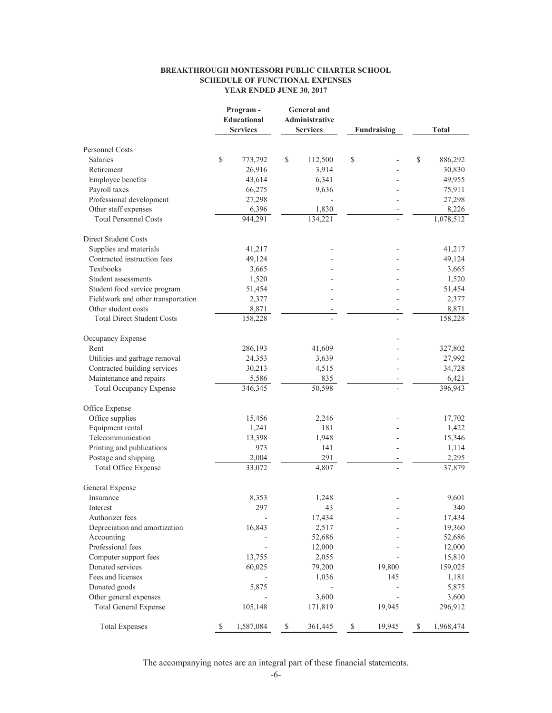#### **BREAKTHROUGH MONTESSORI PUBLIC CHARTER SCHOOL SCHEDULE OF FUNCTIONAL EXPENSES YEAR ENDED JUNE 30, 2017**

|                                    | Program-<br><b>Educational</b><br><b>Services</b> |              | <b>General</b> and<br><b>Administrative</b><br><b>Services</b> |                                   | Fundraising |              | <b>Total</b> |
|------------------------------------|---------------------------------------------------|--------------|----------------------------------------------------------------|-----------------------------------|-------------|--------------|--------------|
| Personnel Costs                    |                                                   |              |                                                                |                                   |             |              |              |
| <b>Salaries</b>                    | \$<br>773,792                                     | \$           | 112,500                                                        | \$                                |             | $\mathbb{S}$ | 886,292      |
| Retirement                         | 26,916                                            |              | 3,914                                                          |                                   |             |              | 30,830       |
| Employee benefits                  | 43,614                                            |              | 6,341                                                          |                                   |             |              | 49,955       |
| Payroll taxes                      | 66,275                                            |              | 9,636                                                          |                                   |             |              | 75,911       |
| Professional development           | 27,298                                            |              |                                                                |                                   |             |              | 27,298       |
| Other staff expenses               | 6,396                                             |              | 1,830                                                          |                                   |             |              | 8,226        |
| <b>Total Personnel Costs</b>       | 944,291                                           |              | 134,221                                                        |                                   |             |              | 1,078,512    |
| Direct Student Costs               |                                                   |              |                                                                |                                   |             |              |              |
| Supplies and materials             | 41,217                                            |              |                                                                |                                   |             |              | 41,217       |
| Contracted instruction fees        | 49,124                                            |              |                                                                |                                   |             |              | 49,124       |
| Textbooks                          | 3,665                                             |              |                                                                |                                   |             |              | 3,665        |
| Student assessments                | 1,520                                             |              |                                                                |                                   |             |              | 1,520        |
| Student food service program       | 51,454                                            |              |                                                                |                                   |             |              | 51,454       |
| Fieldwork and other transportation | 2,377                                             |              |                                                                |                                   | L,          |              | 2,377        |
| Other student costs                | 8,871                                             |              |                                                                |                                   | -           |              | 8,871        |
| <b>Total Direct Student Costs</b>  | 158,228                                           |              |                                                                |                                   |             |              | 158,228      |
| Occupancy Expense                  |                                                   |              |                                                                |                                   |             |              |              |
| Rent                               | 286,193                                           |              | 41,609                                                         |                                   |             |              | 327,802      |
| Utilities and garbage removal      | 24,353                                            |              | 3,639                                                          |                                   |             |              | 27,992       |
| Contracted building services       | 30,213                                            |              | 4,515                                                          |                                   |             |              | 34,728       |
| Maintenance and repairs            | 5,586                                             |              | 835                                                            |                                   |             |              | 6,421        |
| <b>Total Occupancy Expense</b>     | 346,345                                           |              | 50,598                                                         |                                   |             |              | 396,943      |
| Office Expense                     |                                                   |              |                                                                |                                   |             |              |              |
| Office supplies                    | 15,456                                            |              | 2,246                                                          |                                   |             |              | 17,702       |
| Equipment rental                   | 1,241                                             |              | 181                                                            |                                   |             |              | 1,422        |
| Telecommunication                  | 13,398                                            |              | 1,948                                                          |                                   |             |              | 15,346       |
| Printing and publications          | 973                                               |              | 141                                                            |                                   |             |              | 1,114        |
| Postage and shipping               | 2,004                                             |              | 291                                                            |                                   |             |              | 2,295        |
| <b>Total Office Expense</b>        | 33,072                                            |              | 4,807                                                          |                                   |             |              | 37,879       |
| General Expense                    |                                                   |              |                                                                |                                   |             |              |              |
| Insurance                          | 8,353                                             |              | 1,248                                                          |                                   |             |              | 9,601        |
| Interest                           | 297                                               |              | 43                                                             |                                   |             |              | 340          |
| Authorizer fees                    |                                                   |              | 17,434                                                         |                                   |             |              | 17,434       |
| Depreciation and amortization      | 16,843                                            |              | 2,517                                                          |                                   |             |              | 19,360       |
| Accounting                         |                                                   |              | 52,686                                                         |                                   |             |              | 52,686       |
| Professional fees                  |                                                   |              | 12,000                                                         |                                   |             |              | 12,000       |
| Computer support fees              | 13,755                                            |              | 2,055                                                          |                                   |             |              | 15,810       |
| Donated services                   | 60,025                                            |              | 79,200                                                         |                                   | 19,800      |              | 159,025      |
| Fees and licenses                  |                                                   |              | 1,036                                                          |                                   | 145         |              | 1,181        |
| Donated goods                      | 5,875                                             |              |                                                                |                                   |             |              | 5,875        |
| Other general expenses             |                                                   |              | 3,600                                                          |                                   |             |              | 3,600        |
| <b>Total General Expense</b>       | 105,148                                           |              | 171,819                                                        |                                   | 19,945      |              | 296,912      |
| <b>Total Expenses</b>              | \$<br>1,587,084                                   | $\mathbb{S}$ | 361,445                                                        | $\mathbb{S}% _{t}\left( t\right)$ | 19,945      | \$           | 1,968,474    |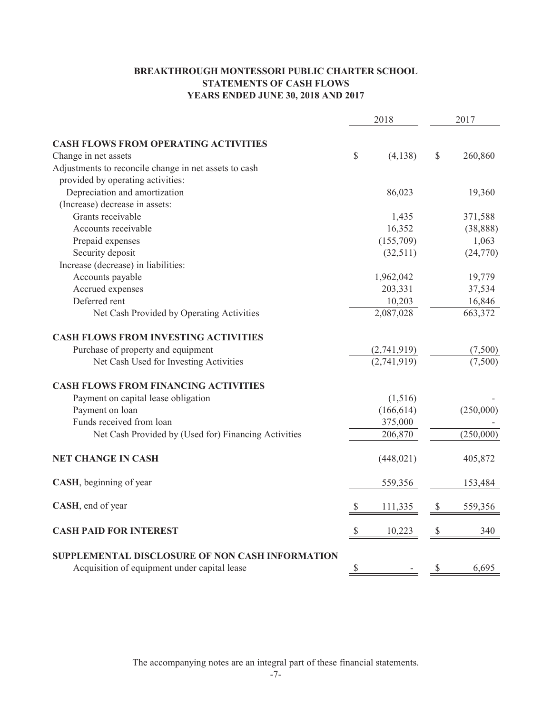### **BREAKTHROUGH MONTESSORI PUBLIC CHARTER SCHOOL STATEMENTS OF CASH FLOWS YEARS ENDED JUNE 30, 2018 AND 2017**

|                                                                                                 | 2018          |               | 2017      |
|-------------------------------------------------------------------------------------------------|---------------|---------------|-----------|
| <b>CASH FLOWS FROM OPERATING ACTIVITIES</b>                                                     |               |               |           |
| Change in net assets                                                                            | \$<br>(4,138) | $\mathcal{S}$ | 260,860   |
|                                                                                                 |               |               |           |
| Adjustments to reconcile change in net assets to cash                                           |               |               |           |
| provided by operating activities:                                                               |               |               |           |
| Depreciation and amortization                                                                   | 86,023        |               | 19,360    |
| (Increase) decrease in assets:                                                                  |               |               |           |
| Grants receivable                                                                               | 1,435         |               | 371,588   |
| Accounts receivable                                                                             | 16,352        |               | (38, 888) |
| Prepaid expenses                                                                                | (155,709)     |               | 1,063     |
| Security deposit                                                                                | (32,511)      |               | (24,770)  |
| Increase (decrease) in liabilities:                                                             |               |               |           |
| Accounts payable                                                                                | 1,962,042     |               | 19,779    |
| Accrued expenses                                                                                | 203,331       |               | 37,534    |
| Deferred rent                                                                                   | 10,203        |               | 16,846    |
| Net Cash Provided by Operating Activities                                                       | 2,087,028     |               | 663,372   |
| <b>CASH FLOWS FROM INVESTING ACTIVITIES</b>                                                     |               |               |           |
| Purchase of property and equipment                                                              | (2,741,919)   |               | (7,500)   |
| Net Cash Used for Investing Activities                                                          | (2,741,919)   |               | (7,500)   |
| <b>CASH FLOWS FROM FINANCING ACTIVITIES</b>                                                     |               |               |           |
| Payment on capital lease obligation                                                             | (1,516)       |               |           |
| Payment on loan                                                                                 | (166, 614)    |               | (250,000) |
| Funds received from loan                                                                        | 375,000       |               |           |
| Net Cash Provided by (Used for) Financing Activities                                            | 206,870       |               | (250,000) |
| <b>NET CHANGE IN CASH</b>                                                                       | (448, 021)    |               | 405,872   |
| CASH, beginning of year                                                                         | 559,356       |               | 153,484   |
| CASH, end of year                                                                               | 111,335       | $\mathcal{S}$ | 559,356   |
| <b>CASH PAID FOR INTEREST</b>                                                                   | \$<br>10,223  | $\mathbb{S}$  | 340       |
| SUPPLEMENTAL DISCLOSURE OF NON CASH INFORMATION<br>Acquisition of equipment under capital lease | \$            | \$            | 6,695     |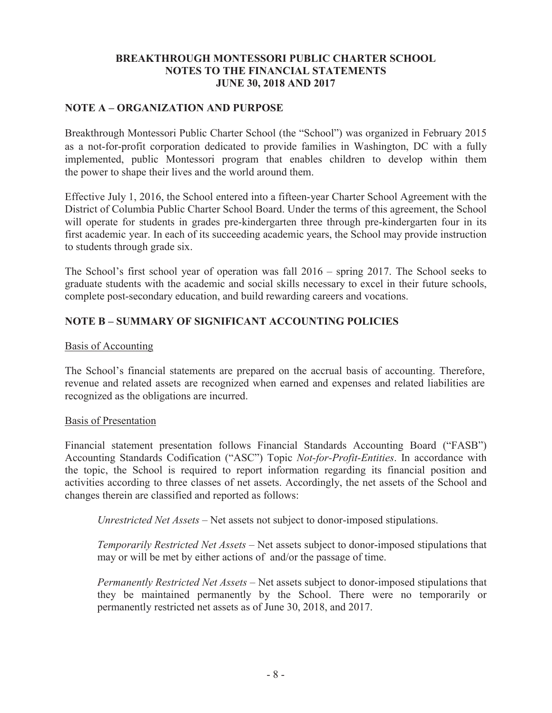### **NOTE A – ORGANIZATION AND PURPOSE**

Breakthrough Montessori Public Charter School (the "School") was organized in February 2015 as a not-for-profit corporation dedicated to provide families in Washington, DC with a fully implemented, public Montessori program that enables children to develop within them the power to shape their lives and the world around them.

Effective July 1, 2016, the School entered into a fifteen-year Charter School Agreement with the District of Columbia Public Charter School Board. Under the terms of this agreement, the School will operate for students in grades pre-kindergarten three through pre-kindergarten four in its first academic year. In each of its succeeding academic years, the School may provide instruction to students through grade six.

The School's first school year of operation was fall 2016 – spring 2017. The School seeks to graduate students with the academic and social skills necessary to excel in their future schools, complete post-secondary education, and build rewarding careers and vocations.

# **NOTE B – SUMMARY OF SIGNIFICANT ACCOUNTING POLICIES**

### Basis of Accounting

The School's financial statements are prepared on the accrual basis of accounting. Therefore, revenue and related assets are recognized when earned and expenses and related liabilities are recognized as the obligations are incurred.

### Basis of Presentation

Financial statement presentation follows Financial Standards Accounting Board ("FASB") Accounting Standards Codification ("ASC") Topic *Not-for-Profit-Entities*. In accordance with the topic, the School is required to report information regarding its financial position and activities according to three classes of net assets. Accordingly, the net assets of the School and changes therein are classified and reported as follows:

*Unrestricted Net Assets* – Net assets not subject to donor-imposed stipulations.

*Temporarily Restricted Net Assets* – Net assets subject to donor-imposed stipulations that may or will be met by either actions of and/or the passage of time.

*Permanently Restricted Net Assets* – Net assets subject to donor-imposed stipulations that they be maintained permanently by the School. There were no temporarily or permanently restricted net assets as of June 30, 2018, and 2017.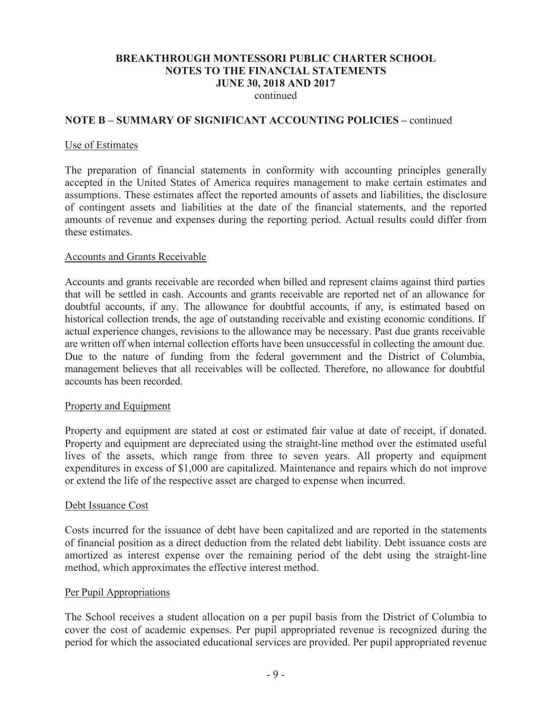continued

### **NOTE B – SUMMARY OF SIGNIFICANT ACCOUNTING POLICIES –** continued

#### Use of Estimates

The preparation of financial statements in conformity with accounting principles generally accepted in the United States of America requires management to make certain estimates and assumptions. These estimates affect the reported amounts of assets and liabilities, the disclosure of contingent assets and liabilities at the date of the financial statements, and the reported amounts of revenue and expenses during the reporting period. Actual results could differ from these estimates.

#### Accounts and Grants Receivable

Accounts and grants receivable are recorded when billed and represent claims against third parties that will be settled in cash. Accounts and grants receivable are reported net of an allowance for doubtful accounts, if any. The allowance for doubtful accounts, if any, is estimated based on historical collection trends, the age of outstanding receivable and existing economic conditions. If actual experience changes, revisions to the allowance may be necessary. Past due grants receivable are written off when internal collection efforts have been unsuccessful in collecting the amount due. Due to the nature of funding from the federal government and the District of Columbia, management believes that all receivables will be collected. Therefore, no allowance for doubtful accounts has been recorded.

#### Property and Equipment

Property and equipment are stated at cost or estimated fair value at date of receipt, if donated. Property and equipment are depreciated using the straight-line method over the estimated useful lives of the assets, which range from three to seven years. All property and equipment expenditures in excess of \$1,000 are capitalized. Maintenance and repairs which do not improve or extend the life of the respective asset are charged to expense when incurred.

### Debt Issuance Cost

Costs incurred for the issuance of debt have been capitalized and are reported in the statements of financial position as a direct deduction from the related debt liability. Debt issuance costs are amortized as interest expense over the remaining period of the debt using the straight-line method, which approximates the effective interest method.

### Per Pupil Appropriations

The School receives a student allocation on a per pupil basis from the District of Columbia to cover the cost of academic expenses. Per pupil appropriated revenue is recognized during the period for which the associated educational services are provided. Per pupil appropriated revenue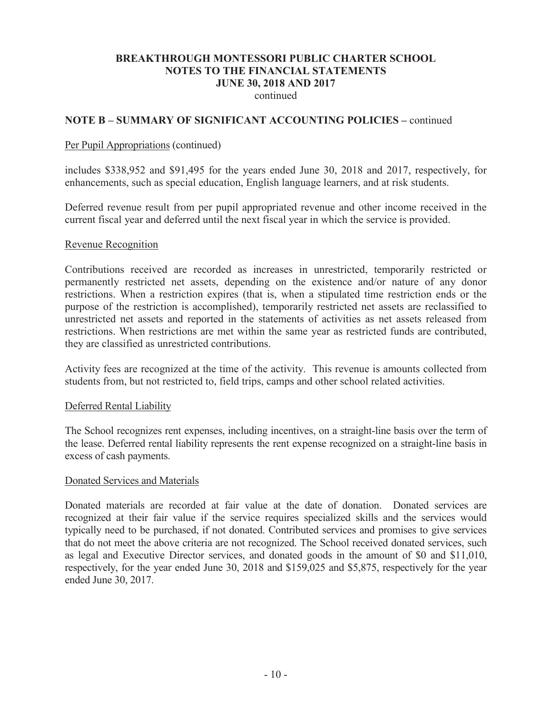continued

### **NOTE B – SUMMARY OF SIGNIFICANT ACCOUNTING POLICIES –** continued

#### Per Pupil Appropriations (continued)

includes \$338,952 and \$91,495 for the years ended June 30, 2018 and 2017, respectively, for enhancements, such as special education, English language learners, and at risk students.

Deferred revenue result from per pupil appropriated revenue and other income received in the current fiscal year and deferred until the next fiscal year in which the service is provided.

#### Revenue Recognition

Contributions received are recorded as increases in unrestricted, temporarily restricted or permanently restricted net assets, depending on the existence and/or nature of any donor restrictions. When a restriction expires (that is, when a stipulated time restriction ends or the purpose of the restriction is accomplished), temporarily restricted net assets are reclassified to unrestricted net assets and reported in the statements of activities as net assets released from restrictions. When restrictions are met within the same year as restricted funds are contributed, they are classified as unrestricted contributions.

Activity fees are recognized at the time of the activity. This revenue is amounts collected from students from, but not restricted to, field trips, camps and other school related activities.

#### Deferred Rental Liability

The School recognizes rent expenses, including incentives, on a straight-line basis over the term of the lease. Deferred rental liability represents the rent expense recognized on a straight-line basis in excess of cash payments.

#### Donated Services and Materials

Donated materials are recorded at fair value at the date of donation. Donated services are recognized at their fair value if the service requires specialized skills and the services would typically need to be purchased, if not donated. Contributed services and promises to give services that do not meet the above criteria are not recognized. The School received donated services, such as legal and Executive Director services, and donated goods in the amount of \$0 and \$11,010, respectively, for the year ended June 30, 2018 and \$159,025 and \$5,875, respectively for the year ended June 30, 2017.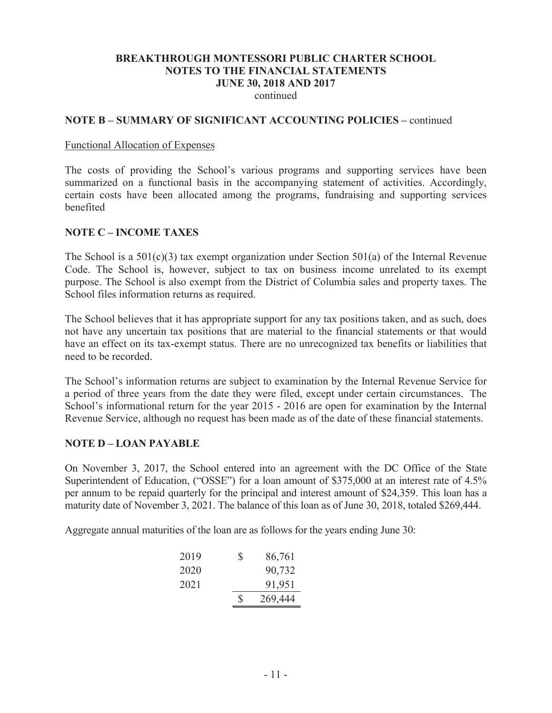continued

#### **NOTE B – SUMMARY OF SIGNIFICANT ACCOUNTING POLICIES –** continued

#### Functional Allocation of Expenses

The costs of providing the School's various programs and supporting services have been summarized on a functional basis in the accompanying statement of activities. Accordingly, certain costs have been allocated among the programs, fundraising and supporting services benefited

### **NOTE C – INCOME TAXES**

The School is a 501(c)(3) tax exempt organization under Section 501(a) of the Internal Revenue Code. The School is, however, subject to tax on business income unrelated to its exempt purpose. The School is also exempt from the District of Columbia sales and property taxes. The School files information returns as required.

The School believes that it has appropriate support for any tax positions taken, and as such, does not have any uncertain tax positions that are material to the financial statements or that would have an effect on its tax-exempt status. There are no unrecognized tax benefits or liabilities that need to be recorded.

The School's information returns are subject to examination by the Internal Revenue Service for a period of three years from the date they were filed, except under certain circumstances. The School's informational return for the year 2015 - 2016 are open for examination by the Internal Revenue Service, although no request has been made as of the date of these financial statements.

#### **NOTE D – LOAN PAYABLE**

On November 3, 2017, the School entered into an agreement with the DC Office of the State Superintendent of Education, ("OSSE") for a loan amount of \$375,000 at an interest rate of 4.5% per annum to be repaid quarterly for the principal and interest amount of \$24,359. This loan has a maturity date of November 3, 2021. The balance of this loan as of June 30, 2018, totaled \$269,444.

Aggregate annual maturities of the loan are as follows for the years ending June 30:

| 2019 | S | 86,761  |
|------|---|---------|
| 2020 |   | 90,732  |
| 2021 |   | 91,951  |
|      | ς | 269,444 |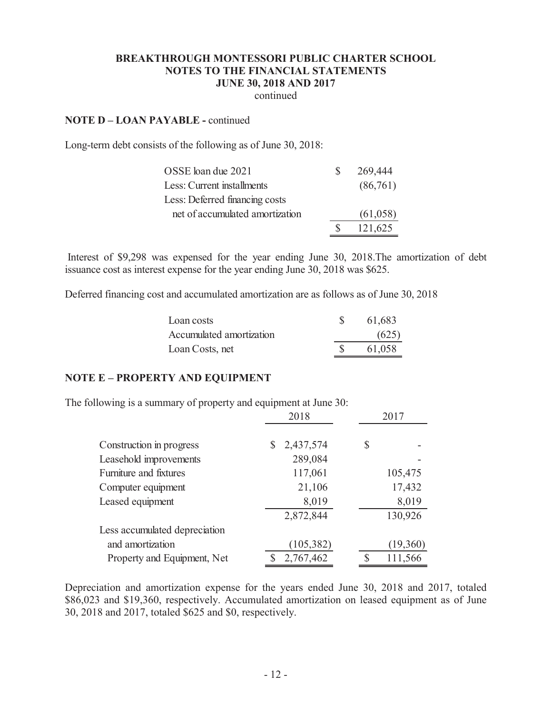continued

#### **NOTE D – LOAN PAYABLE -** continued

Long-term debt consists of the following as of June 30, 2018:

| OSSE loan due 2021              | S. | 269,444  |
|---------------------------------|----|----------|
| Less: Current installments      |    | (86,761) |
| Less: Deferred financing costs  |    |          |
| net of accumulated amortization |    | (61,058) |
|                                 |    | 121,625  |

Interest of \$9,298 was expensed for the year ending June 30, 2018.The amortization of debt issuance cost as interest expense for the year ending June 30, 2018 was \$625.

Deferred financing cost and accumulated amortization are as follows as of June 30, 2018

| Loan costs               | 61,683 |
|--------------------------|--------|
| Accumulated amortization | (625)  |
| Loan Costs, net          | 61,058 |

### **NOTE E – PROPERTY AND EQUIPMENT**

The following is a summary of property and equipment at June 30:

|                               | 2018            |    | 2017     |  |  |
|-------------------------------|-----------------|----|----------|--|--|
| Construction in progress      | 2,437,574<br>\$ | \$ |          |  |  |
| Leasehold improvements        | 289,084         |    |          |  |  |
| Furniture and fixtures        | 117,061         |    | 105,475  |  |  |
| Computer equipment            | 21,106          |    | 17,432   |  |  |
| Leased equipment              | 8,019           |    | 8,019    |  |  |
|                               | 2,872,844       |    | 130,926  |  |  |
| Less accumulated depreciation |                 |    |          |  |  |
| and amortization              | (105, 382)      |    | (19,360) |  |  |
| Property and Equipment, Net   | 2,767,462       | S  | 111,566  |  |  |

Depreciation and amortization expense for the years ended June 30, 2018 and 2017, totaled \$86,023 and \$19,360, respectively. Accumulated amortization on leased equipment as of June 30, 2018 and 2017, totaled \$625 and \$0, respectively.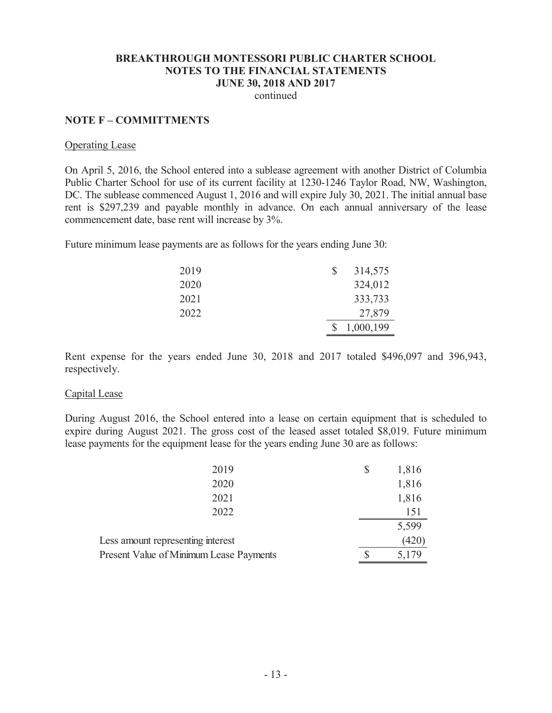continued

#### **NOTE F – COMMITTMENTS**

#### Operating Lease

On April 5, 2016, the School entered into a sublease agreement with another District of Columbia Public Charter School for use of its current facility at 1230-1246 Taylor Road, NW, Washington, DC. The sublease commenced August 1, 2016 and will expire July 30, 2021. The initial annual base rent is \$297,239 and payable monthly in advance. On each annual anniversary of the lease commencement date, base rent will increase by 3%.

Future minimum lease payments are as follows for the years ending June 30:

| 2019 | \$<br>314,575 |
|------|---------------|
| 2020 | 324,012       |
| 2021 | 333,733       |
| 2022 | 27,879        |
|      | 1,000,199     |

Rent expense for the years ended June 30, 2018 and 2017 totaled \$496,097 and 396,943, respectively.

#### Capital Lease

During August 2016, the School entered into a lease on certain equipment that is scheduled to expire during August 2021. The gross cost of the leased asset totaled \$8,019. Future minimum lease payments for the equipment lease for the years ending June 30 are as follows:

| 2020                                           | 1,816 |
|------------------------------------------------|-------|
| 2021                                           | 1,816 |
| 2022                                           | 151   |
|                                                | 5,599 |
| Less amount representing interest              | (420) |
| <b>Present Value of Minimum Lease Payments</b> | 5,179 |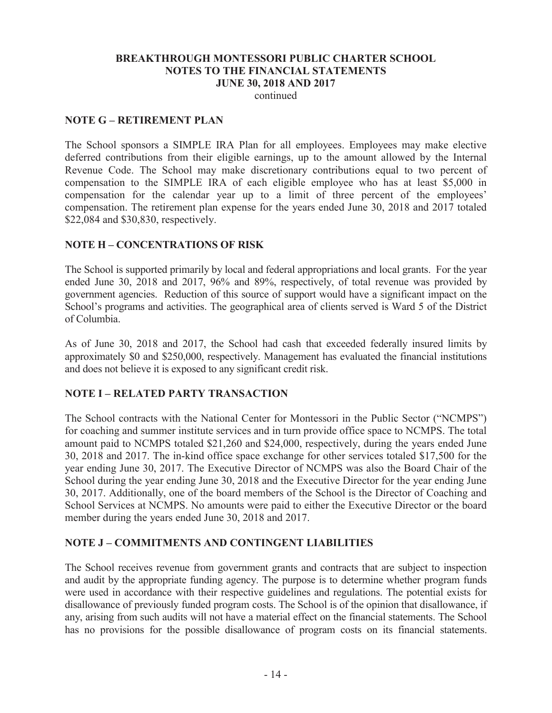continued

### **NOTE G – RETIREMENT PLAN**

The School sponsors a SIMPLE IRA Plan for all employees. Employees may make elective deferred contributions from their eligible earnings, up to the amount allowed by the Internal Revenue Code. The School may make discretionary contributions equal to two percent of compensation to the SIMPLE IRA of each eligible employee who has at least \$5,000 in compensation for the calendar year up to a limit of three percent of the employees' compensation. The retirement plan expense for the years ended June 30, 2018 and 2017 totaled \$22,084 and \$30,830, respectively.

### **NOTE H – CONCENTRATIONS OF RISK**

The School is supported primarily by local and federal appropriations and local grants. For the year ended June 30, 2018 and 2017, 96% and 89%, respectively, of total revenue was provided by government agencies. Reduction of this source of support would have a significant impact on the School's programs and activities. The geographical area of clients served is Ward 5 of the District of Columbia.

As of June 30, 2018 and 2017, the School had cash that exceeded federally insured limits by approximately \$0 and \$250,000, respectively. Management has evaluated the financial institutions and does not believe it is exposed to any significant credit risk.

# **NOTE I – RELATED PARTY TRANSACTION**

The School contracts with the National Center for Montessori in the Public Sector ("NCMPS") for coaching and summer institute services and in turn provide office space to NCMPS. The total amount paid to NCMPS totaled \$21,260 and \$24,000, respectively, during the years ended June 30, 2018 and 2017. The in-kind office space exchange for other services totaled \$17,500 for the year ending June 30, 2017. The Executive Director of NCMPS was also the Board Chair of the School during the year ending June 30, 2018 and the Executive Director for the year ending June 30, 2017. Additionally, one of the board members of the School is the Director of Coaching and School Services at NCMPS. No amounts were paid to either the Executive Director or the board member during the years ended June 30, 2018 and 2017.

# **NOTE J – COMMITMENTS AND CONTINGENT LIABILITIES**

The School receives revenue from government grants and contracts that are subject to inspection and audit by the appropriate funding agency. The purpose is to determine whether program funds were used in accordance with their respective guidelines and regulations. The potential exists for disallowance of previously funded program costs. The School is of the opinion that disallowance, if any, arising from such audits will not have a material effect on the financial statements. The School has no provisions for the possible disallowance of program costs on its financial statements.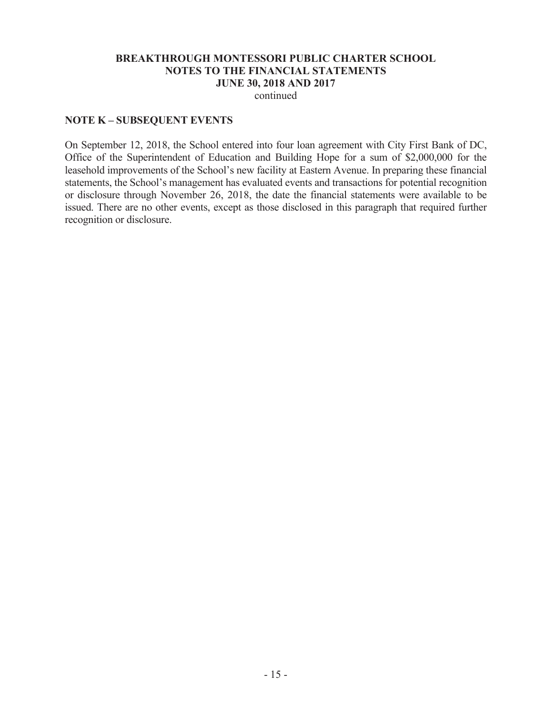continued

### **NOTE K – SUBSEQUENT EVENTS**

On September 12, 2018, the School entered into four loan agreement with City First Bank of DC, Office of the Superintendent of Education and Building Hope for a sum of \$2,000,000 for the leasehold improvements of the School's new facility at Eastern Avenue. In preparing these financial statements, the School's management has evaluated events and transactions for potential recognition or disclosure through November 26, 2018, the date the financial statements were available to be issued. There are no other events, except as those disclosed in this paragraph that required further recognition or disclosure.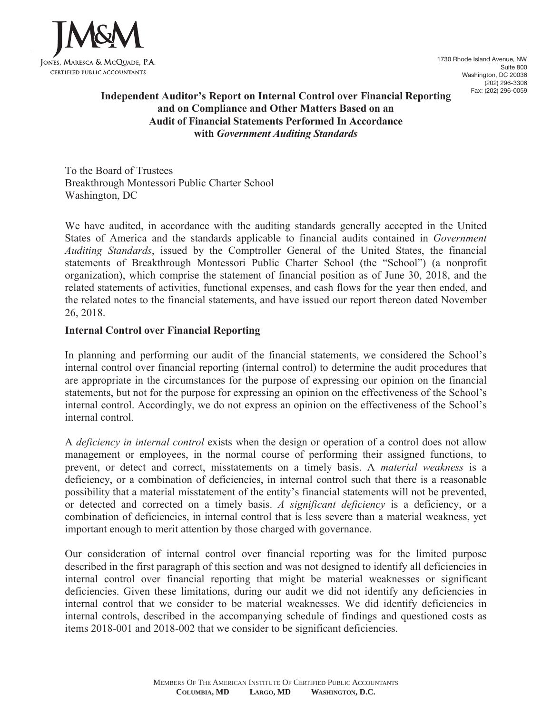

1730 Rhode Island Avenue, NW Suite 800 Washington, DC 20036 (202) 296-3306 Fax: (202) 296-0059

### **Independent Auditor's Report on Internal Control over Financial Reporting and on Compliance and Other Matters Based on an Audit of Financial Statements Performed In Accordance with** *Government Auditing Standards*

To the Board of Trustees Breakthrough Montessori Public Charter School Washington, DC

We have audited, in accordance with the auditing standards generally accepted in the United States of America and the standards applicable to financial audits contained in *Government Auditing Standards*, issued by the Comptroller General of the United States, the financial statements of Breakthrough Montessori Public Charter School (the "School") (a nonprofit organization), which comprise the statement of financial position as of June 30, 2018, and the related statements of activities, functional expenses, and cash flows for the year then ended, and the related notes to the financial statements, and have issued our report thereon dated November 26, 2018.

### **Internal Control over Financial Reporting**

In planning and performing our audit of the financial statements, we considered the School's internal control over financial reporting (internal control) to determine the audit procedures that are appropriate in the circumstances for the purpose of expressing our opinion on the financial statements, but not for the purpose for expressing an opinion on the effectiveness of the School's internal control. Accordingly, we do not express an opinion on the effectiveness of the School's internal control.

A *deficiency in internal control* exists when the design or operation of a control does not allow management or employees, in the normal course of performing their assigned functions, to prevent, or detect and correct, misstatements on a timely basis. A *material weakness* is a deficiency, or a combination of deficiencies, in internal control such that there is a reasonable possibility that a material misstatement of the entity's financial statements will not be prevented, or detected and corrected on a timely basis. *A significant deficiency* is a deficiency, or a combination of deficiencies, in internal control that is less severe than a material weakness, yet important enough to merit attention by those charged with governance.

Our consideration of internal control over financial reporting was for the limited purpose described in the first paragraph of this section and was not designed to identify all deficiencies in internal control over financial reporting that might be material weaknesses or significant deficiencies. Given these limitations, during our audit we did not identify any deficiencies in internal control that we consider to be material weaknesses. We did identify deficiencies in internal controls, described in the accompanying schedule of findings and questioned costs as items 2018-001 and 2018-002 that we consider to be significant deficiencies.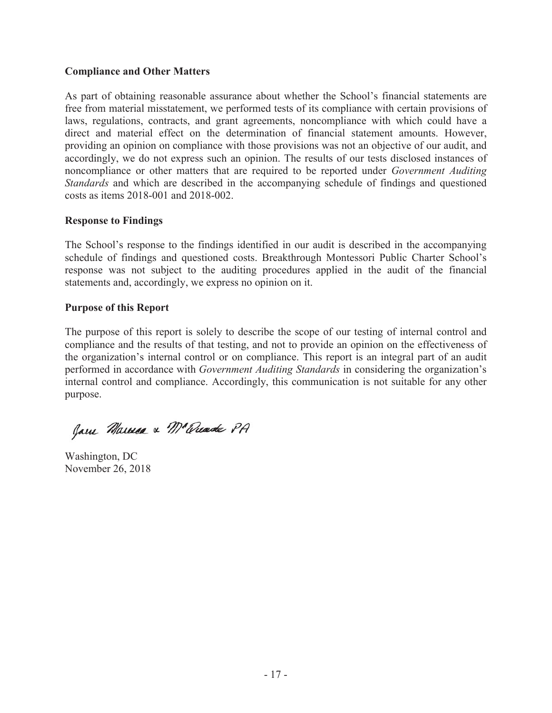### **Compliance and Other Matters**

As part of obtaining reasonable assurance about whether the School's financial statements are free from material misstatement, we performed tests of its compliance with certain provisions of laws, regulations, contracts, and grant agreements, noncompliance with which could have a direct and material effect on the determination of financial statement amounts. However, providing an opinion on compliance with those provisions was not an objective of our audit, and accordingly, we do not express such an opinion. The results of our tests disclosed instances of noncompliance or other matters that are required to be reported under *Government Auditing Standards* and which are described in the accompanying schedule of findings and questioned costs as items 2018-001 and 2018-002.

### **Response to Findings**

The School's response to the findings identified in our audit is described in the accompanying schedule of findings and questioned costs. Breakthrough Montessori Public Charter School's response was not subject to the auditing procedures applied in the audit of the financial statements and, accordingly, we express no opinion on it.

### **Purpose of this Report**

The purpose of this report is solely to describe the scope of our testing of internal control and compliance and the results of that testing, and not to provide an opinion on the effectiveness of the organization's internal control or on compliance. This report is an integral part of an audit performed in accordance with *Government Auditing Standards* in considering the organization's internal control and compliance. Accordingly, this communication is not suitable for any other purpose.

Jam Marmea & M'Quade PA

Washington, DC November 26, 2018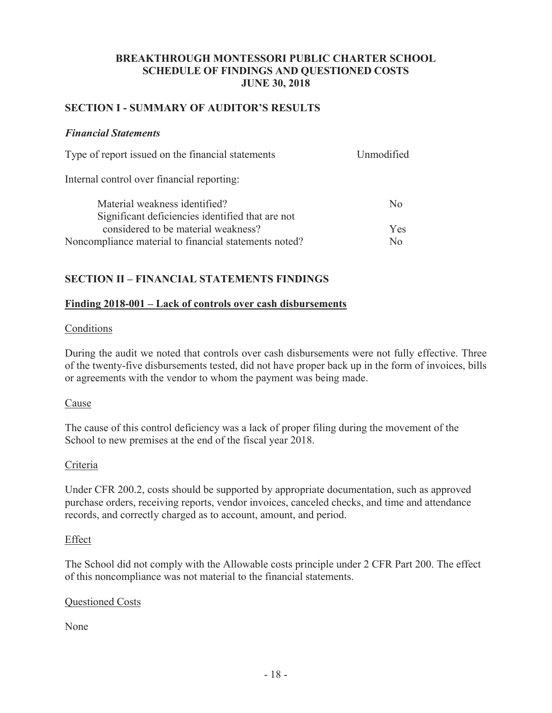### **BREAKTHROUGH MONTESSORI PUBLIC CHARTER SCHOOL SCHEDULE OF FINDINGS AND QUESTIONED COSTS JUNE 30, 2018**

### **SECTION I - SUMMARY OF AUDITOR'S RESULTS**

### *Financial Statements*

| Type of report issued on the financial statements     | Unmodified   |
|-------------------------------------------------------|--------------|
| Internal control over financial reporting:            |              |
| Material weakness identified?                         | No           |
| Significant deficiencies identified that are not      |              |
| considered to be material weakness?                   | Yes          |
| Noncompliance material to financial statements noted? | $N_{\Omega}$ |

# **SECTION II – FINANCIAL STATEMENTS FINDINGS**

### **Finding 2018-001 – Lack of controls over cash disbursements**

### **Conditions**

During the audit we noted that controls over cash disbursements were not fully effective. Three of the twenty-five disbursements tested, did not have proper back up in the form of invoices, bills or agreements with the vendor to whom the payment was being made.

### Cause

The cause of this control deficiency was a lack of proper filing during the movement of the School to new premises at the end of the fiscal year 2018.

### Criteria

Under CFR 200.2, costs should be supported by appropriate documentation, such as approved purchase orders, receiving reports, vendor invoices, canceled checks, and time and attendance records, and correctly charged as to account, amount, and period.

### Effect

The School did not comply with the Allowable costs principle under 2 CFR Part 200. The effect of this noncompliance was not material to the financial statements.

### Questioned Costs

None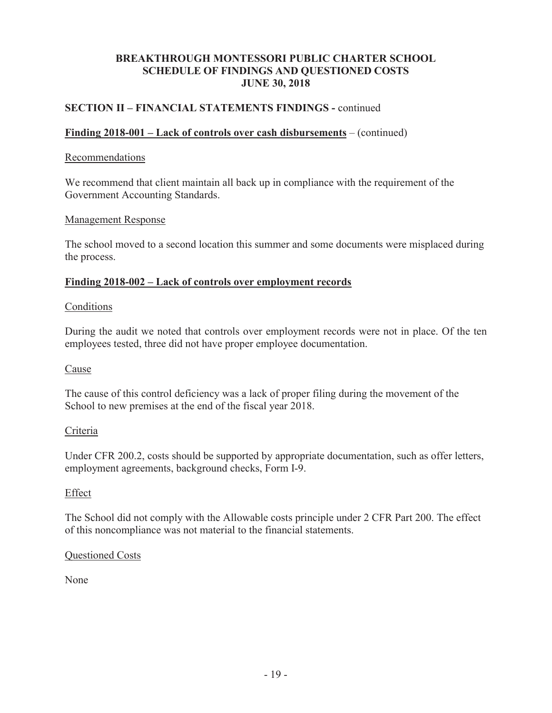### **BREAKTHROUGH MONTESSORI PUBLIC CHARTER SCHOOL SCHEDULE OF FINDINGS AND QUESTIONED COSTS JUNE 30, 2018**

# **SECTION II – FINANCIAL STATEMENTS FINDINGS -** continued

### **Finding 2018-001 – Lack of controls over cash disbursements** – (continued)

### Recommendations

We recommend that client maintain all back up in compliance with the requirement of the Government Accounting Standards.

### Management Response

The school moved to a second location this summer and some documents were misplaced during the process.

### **Finding 2018-002 – Lack of controls over employment records**

### Conditions

During the audit we noted that controls over employment records were not in place. Of the ten employees tested, three did not have proper employee documentation.

### Cause

The cause of this control deficiency was a lack of proper filing during the movement of the School to new premises at the end of the fiscal year 2018.

### Criteria

Under CFR 200.2, costs should be supported by appropriate documentation, such as offer letters, employment agreements, background checks, Form I-9.

### Effect

The School did not comply with the Allowable costs principle under 2 CFR Part 200. The effect of this noncompliance was not material to the financial statements.

### Questioned Costs

None